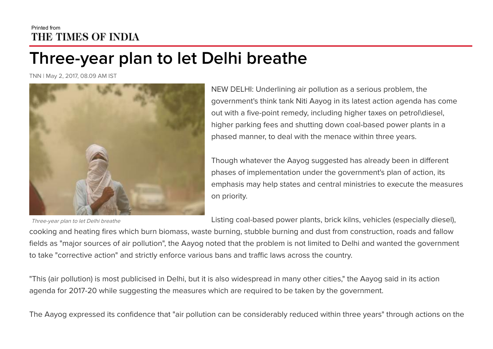## Printed from THE TIMES OF INDIA

## Three-year plan to let Delhi breathe

TNN | May 2, 2017, 08.09 AM IST



Three-year plan to let Delhi breathe

NEW DELHI: Underlining air pollution as a serious problem, the government's think tank Niti Aayog in its latest action agenda has come out with a five-point remedy, including higher taxes on petrol\diesel, higher parking fees and shutting down coal-based power plants in a phased manner, to deal with the menace within three years.

Though whatever the Aayog suggested has already been in different phases of implementation under the government's plan of action, its emphasis may help states and central ministries to execute the measures on priority.

Listing coal-based power plants, brick kilns, vehicles (especially diesel),

cooking and heating fires which burn biomass, waste burning, stubble burning and dust from construction, roads and fallow fields as "major sources of air pollution", the Aayog noted that the problem is not limited to Delhi and wanted the government to take "corrective action" and strictly enforce various bans and traffic laws across the country.

"This (air pollution) is most publicised in Delhi, but it is also widespread in many other cities," the Aayog said in its action agenda for 2017-20 while suggesting the measures which are required to be taken by the government.

The Aayog expressed its confidence that "air pollution can be considerably reduced within three years" through actions on the